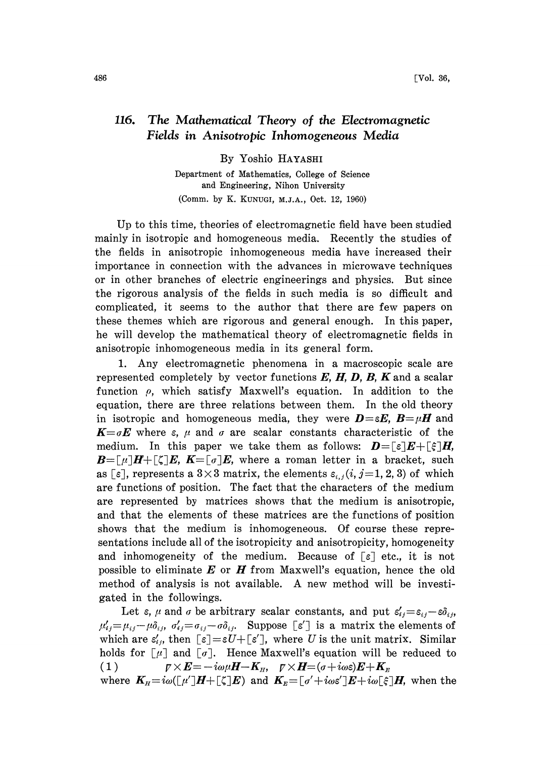## 116. The Mathematical Theory of the Electromagnetic Fields in Anisotropic Inhomogeneous Media

By Yoshio HAYASHI

Department of Mathematics, College of Science and Engineering, Nihon University (Comm. by K. KUNUGI, M.J.A., Oct. 12, 1960)

Up to this time, theories of electromagnetic field have been studied mainly in isotropic and homogeneous media. Recently the studies of the fields in anisotropic inhomogeneous media have increased their importance in connection with the advances in microwave techniques or in other branches of electric engineerings and physics. But since the rigorous analysis of the fields in such media is so difficult and. complicated, it seems to the author that there are few papers on these themes which are rigorous and general enough. In this paper, he will develop the mathematical theory of electromagnetic fields in anisotropic inhomogeneous media in its general form.

1. Any electromagnetic phenomena in a macroscopic scale are represented completely by vector functions  $E$ ,  $H$ ,  $D$ ,  $B$ ,  $K$  and a scalar function  $\rho$ , which satisfy Maxwell's equation. In addition to the equation, there are three relations between them. In the old theory in isotropic and homogeneous media, they were  $\mathbf{D} = \varepsilon \mathbf{E}$ ,  $\mathbf{B} = \mu \mathbf{H}$  and  $K=\sigma E$  where  $\varepsilon$ ,  $\mu$  and  $\sigma$  are scalar constants characteristic of the medium. In this paper we take them as follows:  $D = \lceil \varepsilon \rceil E + \lceil \varepsilon \rceil H$ ,  $\mathbf{B}=[\mu]\mathbf{H}+[\zeta]\mathbf{E}, \mathbf{K}=[\sigma]\mathbf{E}$ , where a roman letter in a bracket, such as [ $\varepsilon$ ], represents a 3×3 matrix, the elements  $\varepsilon_{i,j}$  (*i*, *j*=1, 2, 3) of which are functions of position. The fact that the characters of the medium are represented by matrices shows that the medium is anisotropic, and that the elements of these matrices are the functions of position shows that the medium is inhomogeneous. Of course these representations include all of the isotropicity and anisotropicity, homogeneity and inhomogeneity of the medium. Because of  $\lceil \varepsilon \rceil$  etc., it is not possible to eliminate  $E$  or  $H$  from Maxwell's equation, hence the old method of analysis is not available. A new method will be investigated in the followings.

Let  $\varepsilon$ ,  $\mu$  and  $\sigma$  be arbitrary scalar constants, and put  $\varepsilon'_{ij} = \varepsilon_{ij} - \varepsilon \delta_{ij}$ ,  $\mu'_{ij}=\mu_{ij}-\mu\delta_{ij}, \sigma'_{ij}=\sigma_{ij}-\sigma\delta_{ij}$ . Suppose  $[\epsilon']$  is a matrix the elements of which are  $\varepsilon'_{ij}$ , then  $[\varepsilon]=\varepsilon U+[\varepsilon'],$  where U is the unit matrix. Similar holds for  $\lbrack \mu \rbrack$  and  $\lbrack \sigma \rbrack$ . Hence Maxwell's equation will be reduced to (1)  $\mathbf{V} \times \mathbf{E} = -i\omega\mu\mathbf{H}-\mathbf{K}_{H}$ ,  $\mathbf{V} \times \mathbf{H} = (\sigma + i\omega\varepsilon)\mathbf{E} + \mathbf{K}_{H}$ 

where  $K_{H} = i\omega([\mu']H + [\zeta]E)$  and  $K_{E} = [\sigma' + i\omega \varepsilon']E + i\omega[\xi]H$ , when the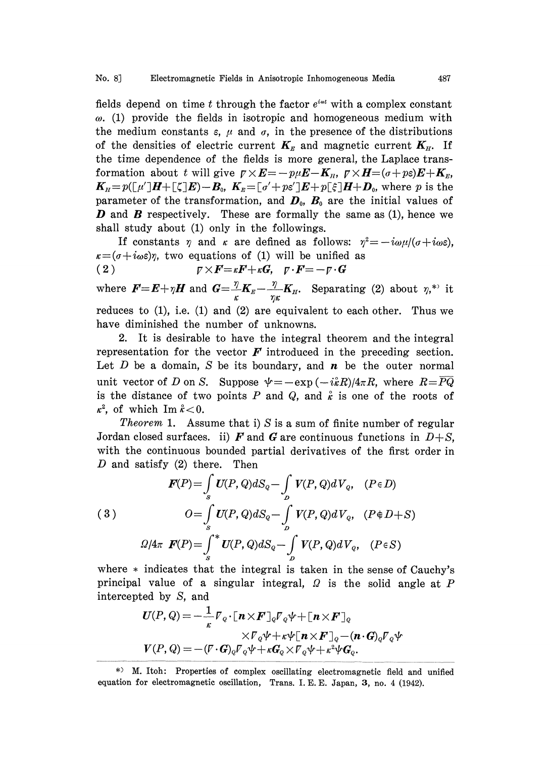## No. 8] Electromagnetic Fields in Anisotropic Inhomogeneous Media 487

fields depend on time t through the factor  $e^{i\omega t}$  with a complex constant  $\omega$ . (1) provide the fields in isotropic and homogeneous medium with the medium constants  $\varepsilon$ ,  $\mu$  and  $\sigma$ , in the presence of the distributions of the densities of electric current  $K_{\pi}$  and magnetic current  $K_{\pi}$ . If the time dependence of the fields is more general, the Laplace transformation about t will give  $p \times E = -p\mu E - K_n$ ,  $p \times H = (\sigma + p\varepsilon)E + K_n$ ,  $K_n=p([\mu']H+[\zeta]E)-B_0, K_{\mu}=[\sigma'+p\varepsilon']E+p[\xi]H+D_0$ , where p is the parameter of the transformation, and  $\boldsymbol{D}_0$ ,  $\boldsymbol{B}_0$  are the initial values of **D** and **B** respectively. These are formally the same as  $(1)$ , hence we shall study about (1) only in the followings.

If constants  $\eta$  and  $\kappa$  are defined as follows:  $\eta^2 = -i\omega\mu/(\sigma + i\omega\epsilon)$ ,  $\kappa = (\sigma + i\omega \varepsilon)\eta$ , two equations of (1) will be unified as (2)  $\mathbb{P}\times\mathbf{F}=\kappa\mathbf{F}+\kappa\mathbf{G}, \quad \mathbb{P}\cdot\mathbf{F}=-\mathbb{P}\cdot\mathbf{G}$ 

where  $\boldsymbol{F} = \boldsymbol{E} + \eta \boldsymbol{H}$  and  $\boldsymbol{G} = -\frac{\eta}{\kappa} \boldsymbol{K}_E - \frac{\eta}{\eta \kappa} \boldsymbol{K}_H$ . Separating (2) about  $\eta$ ,\*' it reduces to  $(1)$ , i.e.  $(1)$  and  $(2)$  are equivalent to each other. Thus we have diminished the number of unknowns.

2. It is desirable to have the integral theorem and the integral representation for the vector  $\boldsymbol{F}$  introduced in the preceding section. Let  $D$  be a domain,  $S$  be its boundary, and  $n$  be the outer normal unit vector of D on S. Suppose  $\psi = -\exp(-i\hat{\kappa}R)/4\pi R$ , where  $R=PQ$ is the distance of two points P and Q, and  $\hat{\kappa}$  is one of the roots of  $\kappa^2$ , of which Im  $\hat{\kappa} < 0$ .

*Theorem* 1. Assume that i) S is a sum of finite number of regular Jordan closed surfaces, ii) F and G are continuous functions in  $D+S$ . with the continuous bounded partial derivatives of the first order in D and satisfy  $(2)$  there. Then

(3)  

$$
\mathbf{F}(P) = \int_{s} U(P, Q) dS_{Q} - \int_{D} V(P, Q) dV_{Q}, \quad (P \in D)
$$

$$
O = \int_{s} U(P, Q) dS_{Q} - \int_{D} V(P, Q) dV_{Q}, \quad (P \notin D + S)
$$

$$
\Omega/4\pi \quad \mathbf{F}(P) = \int_{s}^{*} U(P, Q) dS_{Q} - \int_{D} V(P, Q) dV_{Q}, \quad (P \in S)
$$

where  $*$  indicates that the integral is taken in the sense of Cauchy's principal value of a singular integral,  $\Omega$  is the solid angle at P intercepted by S, and

$$
U(P, Q) = -\frac{1}{\kappa} \nabla_Q \cdot [\mathbf{n} \times \mathbf{F}]_Q \nabla_Q \psi + [\mathbf{n} \times \mathbf{F}]_Q
$$
  
 
$$
\times \nabla_Q \psi + \kappa \psi [\mathbf{n} \times \mathbf{F}]_Q - (\mathbf{n} \cdot \mathbf{G})_Q \nabla_Q \psi
$$
  
 
$$
V(P, Q) = -(\nabla \cdot \mathbf{G})_Q \nabla_Q \psi + \kappa \mathbf{G}_Q \times \nabla_Q \psi + \kappa^2 \psi \mathbf{G}_Q.
$$

 $*$  M. Itoh: Properties of complex oscillating electromagnetic field and unified equation for electromagnetic oscillation, Trans. I. E. E. Japan, 3, no. 4 (1942).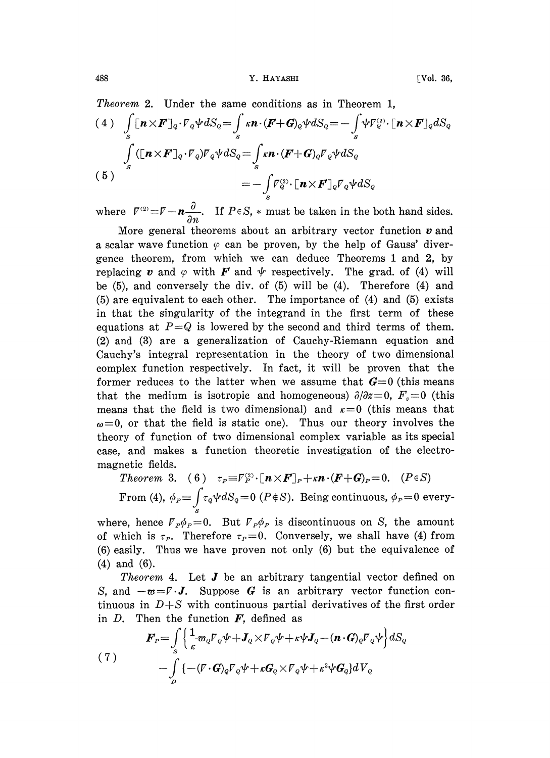Theorem 2. Under the same conditions as in Theorem 1,  
\n(4) 
$$
\int_{s} [\mathbf{n} \times \mathbf{F}]_{\mathbb{Q}} \cdot \nabla_{\mathbb{Q}} \psi dS_{\mathbb{Q}} = \int_{s} \kappa \mathbf{n} \cdot (\mathbf{F} + \mathbf{G})_{\mathbb{Q}} \psi dS_{\mathbb{Q}} = -\int_{s} \psi \nabla_{\mathbb{Q}}^{\circ} \cdot [\mathbf{n} \times \mathbf{F}]_{\mathbb{Q}} dS_{\mathbb{Q}}
$$
\n
$$
\int_{s} ([\mathbf{n} \times \mathbf{F}]_{\mathbb{Q}} \cdot \nabla_{\mathbb{Q}}) \nabla_{\mathbb{Q}} \psi dS_{\mathbb{Q}} = \int_{s} \kappa \mathbf{n} \cdot (\mathbf{F} + \mathbf{G})_{\mathbb{Q}} \nabla_{\mathbb{Q}} \psi dS_{\mathbb{Q}}
$$
\n(5) 
$$
= -\int_{s} \nabla_{\mathbb{Q}}^{\circ} \cdot [\mathbf{n} \times \mathbf{F}]_{\mathbb{Q}} \nabla_{\mathbb{Q}} \psi dS_{\mathbb{Q}}
$$

where  $\bar{V}^{(2)} = \bar{V} - n \frac{\partial}{\partial n}$ . If  $P \in S$ ,  $*$  must be taken in the both hand sides.

More general theorems about an arbitrary vector function  $\boldsymbol{v}$  and a scalar wave function  $\varphi$  can be proven, by the help of Gauss' divergenee theorem, from which we can deduce Theorems <sup>1</sup> and 2, by replacing v and  $\varphi$  with F and  $\psi$  respectively. The grad. of (4) will be (5), and conversely the div. of (5) will be (4). Therefore (4) and (5) are equivalent to each other. The importance of (4) and (5) exists in that the singularity of the integrand in the first term of these equations at  $P=Q$  is lowered by the second and third terms of them. (2) and (3) are a generalization of Cauehy-Riemann equation and Cauehy's integral representation in the theory of two dimensional complex function respectively. In fact, it will be proven that the former reduces to the latter when we assume that  $G=0$  (this means that the medium is isotropic and homogeneous)  $\partial/\partial z=0$ ,  $F_z=0$  (this means that the field is two dimensional) and  $\kappa=0$  (this means that  $\omega=0$ , or that the field is static one). Thus our theory involves the theory of function of two dimensional complex variable as its special ease, and makes a function theoretic investigation of the electromagnetic fields.

Theorem 3. (6)  $\tau_P \equiv \overline{V}_P^{(2)} \cdot [\mathbf{n} \times \mathbf{F}]_P + \kappa \mathbf{n} \cdot (\mathbf{F} + \mathbf{G})_P = 0.$  (P $\in S$ ) From (4),  $\phi_P = \int \tau_Q \psi dS_Q = 0$  ( $P \notin S$ ). Being continuous,  $\phi_P = 0$  every-

where, hence  $V_P \phi_P = 0$ . But  $V_P \phi_P$  is discontinuous on S, the amount of which is  $\tau_P$ . Therefore  $\tau_P=0$ . Conversely, we shall have (4) from (6) easily. Thus we have proven not only (6) but the equivalence of (4) and (6).

*Theorem* 4. Let  $J$  be an arbitrary tangential vector defined on S, and  $-\infty = \mathbb{F} \cdot J$ . Suppose G is an arbitrary vector function continuous in  $D + S$  with continuous partial derivatives of the first order<br>in D. Then the function F, defined as<br> $F_r = \int_S \left\{ \frac{1}{\kappa} \varpi_Q \mathbb{F}_Q \psi + J_Q \times \mathbb{$ tinuous in  $D+S$  with continuous partial derivatives of the first order in  $D$ . Then the function  $F$ , defined as

(7) 
$$
\mathbf{F}_{P} = \int_{S} \left\{ \frac{1}{\kappa} \mathbf{\varpi}_{Q} \mathbf{F}_{Q} \psi + \mathbf{J}_{Q} \times \mathbf{F}_{Q} \psi + \kappa \psi \mathbf{J}_{Q} - (\mathbf{n} \cdot \mathbf{G})_{Q} \mathbf{F}_{Q} \psi \right\} dS_{Q} - \int_{D} \left\{ -(\mathbf{F} \cdot \mathbf{G})_{Q} \mathbf{F}_{Q} \psi + \kappa \mathbf{G}_{Q} \times \mathbf{F}_{Q} \psi + \kappa^{2} \psi \mathbf{G}_{Q} \right\} dV_{Q}
$$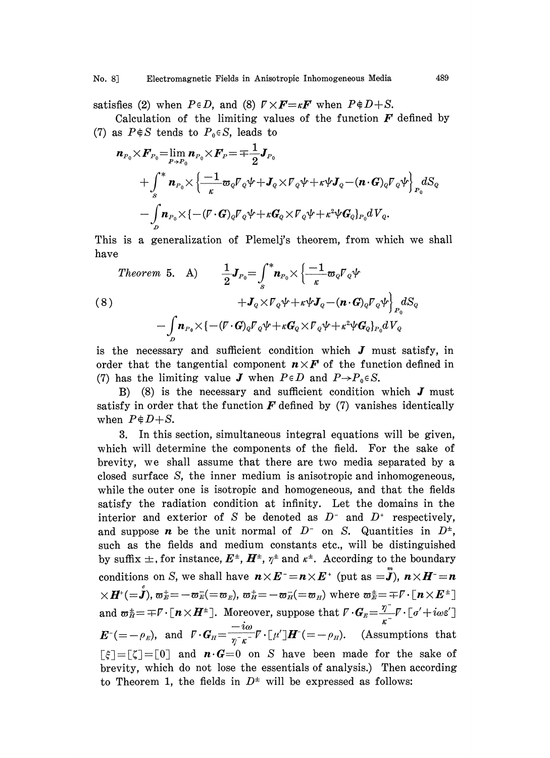satisfies (2) when  $P \in D$ , and (8)  $\nabla \times \mathbf{F} = \kappa \mathbf{F}$  when  $P \notin D + S$ .

Calculation of the limiting values of the function  $\boldsymbol{F}$  defined by (7) as  $P \notin S$  tends to  $P_0 \in S$ , leads to

$$
\begin{aligned} \boldsymbol{n}_{\scriptscriptstyle P_0} \times \boldsymbol{F}_{\scriptscriptstyle P_0} = & \lim_{\scriptscriptstyle P \rightarrow P_0} \boldsymbol{n}_{\scriptscriptstyle P_0} \times \boldsymbol{F}_{\scriptscriptstyle P} = \mp \frac{1}{2} \boldsymbol{J}_{\scriptscriptstyle P_0} \\ & + \int_s^* \boldsymbol{n}_{\scriptscriptstyle P_0} \times \left\{ \frac{-1}{\kappa} \boldsymbol{\varpi}_0 \boldsymbol{V}_0 \boldsymbol{\psi} + \boldsymbol{J}_0 \times \boldsymbol{V}_0 \boldsymbol{\psi} + \kappa \boldsymbol{\psi} \boldsymbol{J}_0 - (\boldsymbol{n} \cdot \boldsymbol{G})_0 \boldsymbol{V}_0 \boldsymbol{\psi} \right\}_{\scriptscriptstyle P_0} dS_Q \\ & - \int_{D} \boldsymbol{n}_{\scriptscriptstyle P_0} \times \{ - (\boldsymbol{V} \cdot \boldsymbol{G})_0 \boldsymbol{V}_0 \boldsymbol{\psi} + \kappa \boldsymbol{G}_0 \times \boldsymbol{V}_0 \boldsymbol{\psi} + \kappa^2 \boldsymbol{\psi} \boldsymbol{G}_0 \}_{\scriptscriptstyle P_0} dV_Q. \end{aligned}
$$

This is a generalization of Plemelj's theorem, from which we shall have

*Theorem 5.* A)

\n
$$
\frac{1}{2} J_{P_0} = \int_s^* \mathbf{n}_{P_0} \times \left\{ \frac{-1}{\kappa} \mathbf{\varpi}_Q \mathbf{F}_Q \boldsymbol{\psi} + J_Q \times \mathbf{F}_Q \boldsymbol{\psi} \right\} \mathbf{F}_Q \boldsymbol{\psi} + \mathbf{J}_Q \times \mathbf{F}_Q \boldsymbol{\psi} + \kappa \boldsymbol{\psi} \mathbf{J}_Q - (\mathbf{n} \cdot \mathbf{G})_Q \mathbf{F}_Q \boldsymbol{\psi} \right\} \mathbf{F}_Q \, dS_Q
$$
\n
$$
- \int_D \mathbf{n}_{P_0} \times \left\{ -(\mathbf{F} \cdot \mathbf{G})_Q \mathbf{F}_Q \boldsymbol{\psi} + \kappa \mathbf{G}_Q \times \mathbf{F}_Q \boldsymbol{\psi} + \kappa^2 \boldsymbol{\psi} \mathbf{G}_Q \right\} \mathbf{F}_Q \, dV_Q
$$

is the necessary and sufficient condition which  $J$  must satisfy, in order that the tangential component  $n\times F$  of the function defined in (7) has the limiting value **J** when  $P \in D$  and  $P \rightarrow P_0 \in S$ .

B) (8) is the necessary and sufficient condition which  $J$  must satisfy in order that the function  $\boldsymbol{F}$  defined by (7) vanishes identically when  $P \notin D+S$ .

3. In this section, simultaneous integral equations will be given, which will determine the components of the field. For the sake of brevity, we shall assume that there are two media separated by a closed surface S, the inner medium is anisotropic and inhomogeneous, while the outer one is isotropic and homogeneous, and that the fields satisfy the radiation condition at infinity. Let the domains in the interior and exterior of S be denoted as  $D^-$  and  $D^+$  respectively, and suppose **n** be the unit normal of  $D^-$  on S. Quantities in  $D^{\pm}$ , such as the fields and medium constants etc., will be distinguished by suffix  $\pm$ , for instance,  $E^{\pm}$ ,  $H^{\pm}$ ,  $\gamma^{\pm}$  and  $\kappa^{\pm}$ . According to the boundary conditions on S, we shall have  $n \times E^- = n \times E^+$  (put as  $=\stackrel{m}{J}$ ),  $n \times H^- = n$  $\times \boldsymbol{H}^{*}(=\stackrel{\scriptscriptstyle e}{\boldsymbol{J}}), \varpi_E^+=-\varpi_E^- (=\varpi_E), \varpi_H^+=-\varpi_H^=(-\varpi_H)$  where  $\varpi_E^+=\mp\mathit{\Gamma}\cdot\left[\boldsymbol{n}\!\times\!\boldsymbol{E}^{\pm}\right]$ conditions on *S*, we shall have  $\boldsymbol{n} \times \boldsymbol{E}^{-} = \boldsymbol{n} \times \boldsymbol{E}^{+}$  (put as  $=\boldsymbol{J}$ ),  $\boldsymbol{n} \times \boldsymbol{H}^{-} = \boldsymbol{n}$ <br>  $\times \boldsymbol{H}^{+} (= \hat{\boldsymbol{J}})$ ,  $\boldsymbol{\omega}_{E}^{+} = -\boldsymbol{\omega}_{E}^{-} (= \boldsymbol{\omega}_{E})$ ,  $\boldsymbol{\omega}_{H}^{+} = -\boldsymbol{\omega}_{H}^{-} (= \boldsymbol{\omega}_{H})$  where  $\boldsymbol{\omega}_{$ and  $\mathbf{\omega}_B^{\pm} = \mp \mathbf{V} \cdot [\mathbf{n} \times \mathbf{H}^{\pm}]$ . Moreover, suppose that  $\mathbf{V} \cdot \mathbf{G}_E = \frac{\mathbf{\eta}^{\pm}}{\mathbf{\kappa}^{\pm}} \mathbf{V} \cdot [\mathbf{\sigma}' + i \omega \mathbf{\epsilon}']$  $\lceil \xi \rceil = \lceil \zeta \rceil = \lceil 0 \rceil$  and  $\mathbf{n} \cdot \mathbf{G} = 0$  on S have been made for the sake of brevity, which do not lose the essentials of analysis.) Then according to Theorem 1, the fields in  $D^{\pm}$  will be expressed as follows: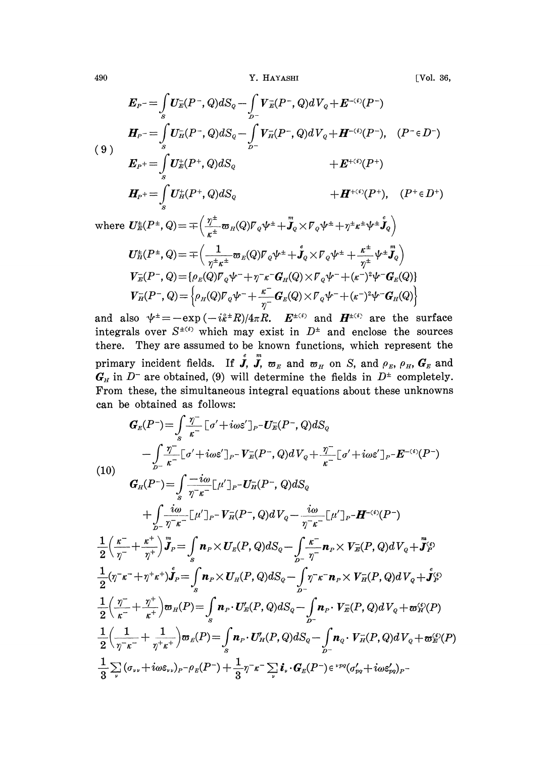490 **Y. HAYASHI** [Vol. 36,

$$
E_{P} = \int_{S} U_{E}^{-}(P^{-}, Q) dS_{Q} - \int_{D^{-}} V_{E}^{-}(P^{-}, Q) dV_{Q} + E^{-(i)}(P^{-})
$$
\n
$$
H_{P} = \int_{S} U_{H}^{-}(P^{-}, Q) dS_{Q} - \int_{D^{-}} V_{H}^{-}(P^{-}, Q) dV_{Q} + H^{-(i)}(P^{-}), \quad (P^{-} \in D^{-})
$$
\n
$$
E_{P}^{+} = \int_{S} U_{E}^{+}(P^{+}, Q) dS_{Q} + E^{+(i)}(P^{+})
$$
\n
$$
H_{P}^{+} = \int_{S} U_{H}^{+}(P^{+}, Q) dS_{Q} + H^{+(i)}(P^{+}), \quad (P^{+} \in D^{+})
$$

$$
\text{where } \boldsymbol{U}_{\mathcal{E}}^{\pm}(P^{\pm},Q)=\mp\Big(\frac{\eta^{\pm}}{\kappa^{\pm}}\boldsymbol{\varpi}_{H}(Q)\boldsymbol{V}_{Q}\boldsymbol{\psi}^{\pm}+\ddot{\boldsymbol{J}}_{Q}\times\boldsymbol{V}_{Q}\boldsymbol{\psi}^{\pm}+\eta^{\pm}\kappa^{\pm}\boldsymbol{\psi}^{\pm}\dot{\boldsymbol{J}}_{Q}\Big)\\ \boldsymbol{U}_{\mathcal{E}}^{\pm}(P^{\pm},Q)=\mp\Big(\frac{1}{\eta^{\pm}\kappa^{\pm}}\boldsymbol{\varpi}_{E}(Q)\boldsymbol{V}_{Q}\boldsymbol{\psi}^{\pm}+\dot{\boldsymbol{J}}_{Q}\times\boldsymbol{V}_{Q}\boldsymbol{\psi}^{\pm}+\frac{\kappa^{\pm}}{\eta^{\pm}}\boldsymbol{\psi}^{\pm}\ddot{\boldsymbol{J}}_{Q}\Big)\\ \boldsymbol{V}_{\mathcal{E}}^{\pm}(P^{\pm},Q)=\{\rho_{E}(Q)\boldsymbol{V}_{Q}\boldsymbol{\psi}^{\pm}+\eta^{\pm}\kappa^{\pm}Q_{H}(Q)\times\boldsymbol{V}_{Q}\boldsymbol{\psi}^{\pm}+(\kappa^{\pm})^{2}\boldsymbol{\psi}^{\pm}\boldsymbol{G}_{E}(Q)\}\\ \boldsymbol{V}_{H}^{\pm}(P^{\pm},Q)=\Big\{\rho_{H}(Q)\boldsymbol{V}_{Q}\boldsymbol{\psi}^{\pm}+\frac{\kappa^{\pm}}{\eta^{\pm}}\boldsymbol{G}_{E}(Q)\times\boldsymbol{V}_{Q}\boldsymbol{\psi}^{\pm}+(\kappa^{\pm})^{2}\boldsymbol{\psi}^{\pm}\boldsymbol{G}_{H}(Q)\Big\}
$$

and also  $\psi^{\pm}=-\exp{(-i\hat{k}^{\pm}R)/4\pi R}$ .  $E^{\pm(i)}$  and  $H^{\pm(i)}$  are the surface integrals over  $S^{\pm(i)}$  which may exist in  $D^{\pm}$  and enclose the sources there. They are assumed to be known functions, which represent the primary incident fields. If  $\mathbf{J}$ ,  $\mathbf{J}$ ,  $\boldsymbol{\sigma}_E$  and  $\boldsymbol{\sigma}_H$  on S, and  $\rho_E$ ,  $\rho_H$ ,  $\mathbf{G}_E$  and in  $D^-$  are obtained, (9) will determine the fields in  $D^{\pm}$  completely. From these, the simultaneous integral equations about these unknowns can be obtained as follows:

$$
G_{E}(P^{-}) = \int_{S} \frac{\eta^{-}}{k^{-}} \left[\sigma' + i\omega \varepsilon'\right]_{P} - U_{E}(P^{-}, Q) dS_{Q}
$$
\n
$$
- \int_{D^{-}} \frac{\eta^{-}}{k^{-}} \left[\sigma' + i\omega \varepsilon'\right]_{P} - V_{E}(P^{-}, Q) dV_{Q} + \frac{\eta^{-}}{k^{-}} \left[\sigma' + i\omega \varepsilon'\right]_{P} - E^{-(4)}(P^{-})
$$
\n(10)\n
$$
G_{H}(P^{-}) = \int_{S} \frac{-i\omega}{\eta^{-}k^{-}} \left[\mu'\right]_{P} - U_{H}^{-}(P^{-}, Q) dS_{Q}
$$
\n
$$
+ \int_{D^{-}} \frac{i\omega}{\eta^{-}k^{-}} \left[\mu'\right]_{P} - V_{H}^{-}(P^{-}, Q) dV_{Q} - \frac{i\omega}{\eta^{-}k^{-}} \left[\mu'\right]_{P} - H^{-(4)}(P^{-})
$$
\n
$$
\frac{1}{2} \left(\frac{k^{-}}{\eta^{-}} + \frac{k^{+}}{\eta^{+}}\right)_{P}^{m} = \int_{S} n_{P} \times U_{E}(P, Q) dS_{Q} - \int_{D^{-}} \frac{k^{-}}{\eta^{-}} n_{P} \times V_{E}(P, Q) dV_{Q} + \int_{P}^{m} \Omega
$$
\n
$$
\frac{1}{2} (\eta^{-}k^{-} + \eta^{+}k^{+}) \int_{P}^{*} = \int_{S} n_{P} \times U_{H}(P, Q) dS_{Q} - \int_{D^{-}} \eta^{-}k^{-} n_{P} \times V_{H}(P, Q) dV_{Q} + \int_{P}^{a} \Omega
$$
\n
$$
\frac{1}{2} \left(\frac{\eta^{-}}{k^{-}} + \frac{\eta^{+}}{k^{+}}\right) \varpi_{H}(P) = \int_{S} n_{P} \cdot U_{E}'(P, Q) dS_{Q} - \int_{D^{-}} n_{P} \cdot V_{E}(P, Q) dV_{Q} + \varpi_{H}^{a}(P)
$$
\n
$$
\frac{1}{2} \left(\frac{1}{\eta^{-}k^{-}} + \frac{1}{\eta^{+}k^{+}}\right) \varpi_{E}(P) = \int_{S} n_{P} \cdot U_{H}'(P, Q) dS_{Q} - \int_{D^{-}} n_{Q} \cdot V_{H}(
$$